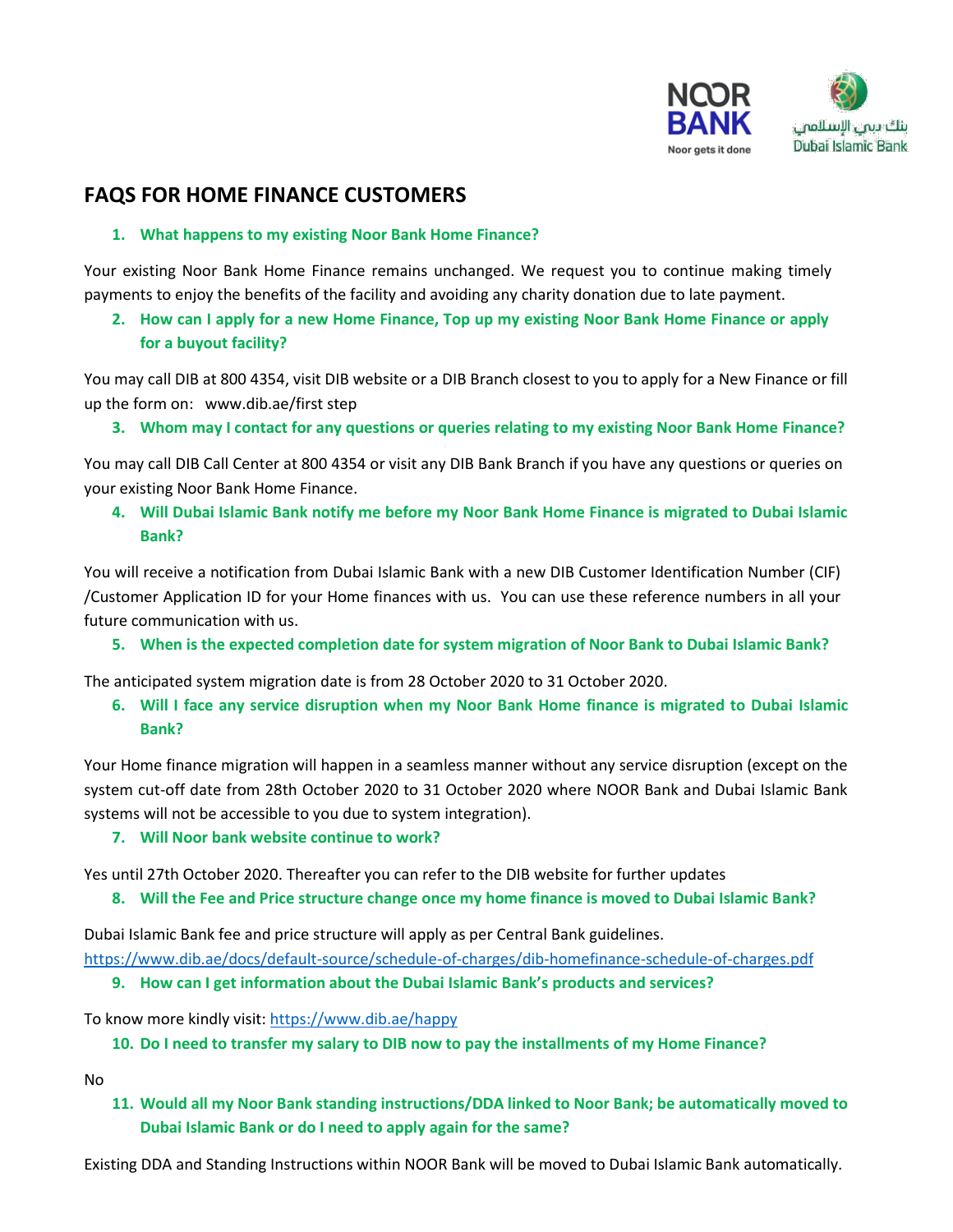

# **FAQS FOR HOME FINANCE CUSTOMERS**

### **1. What happens to my existing Noor Bank Home Finance?**

Your existing Noor Bank Home Finance remains unchanged. We request you to continue making timely payments to enjoy the benefits of the facility and avoiding any charity donation due to late payment.

**2. How can I apply for a new Home Finance, Top up my existing Noor Bank Home Finance or apply for a buyout facility?**

You may call DIB at 800 4354, visit DIB website or a DIB Branch closest to you to apply for a New Finance or fill up the form on: www.dib.ae/first step

**3. Whom may I contact for any questions or queries relating to my existing Noor Bank Home Finance?**

You may call DIB Call Center at 800 4354 or visit any DIB Bank Branch if you have any questions or queries on your existing Noor Bank Home Finance.

**4. Will Dubai Islamic Bank notify me before my Noor Bank Home Finance is migrated to Dubai Islamic Bank?**

You will receive a notification from Dubai Islamic Bank with a new DIB Customer Identification Number (CIF) /Customer Application ID for your Home finances with us. You can use these reference numbers in all your future communication with us.

**5. When is the expected completion date for system migration of Noor Bank to Dubai Islamic Bank?**

The anticipated system migration date is from 28 October 2020 to 31 October 2020.

**6. Will I face any service disruption when my Noor Bank Home finance is migrated to Dubai Islamic Bank?**

Your Home finance migration will happen in a seamless manner without any service disruption (except on the system cut-off date from 28th October 2020 to 31 October 2020 where NOOR Bank and Dubai Islamic Bank systems will not be accessible to you due to system integration).

### **7. Will Noor bank website continue to work?**

Yes until 27th October 2020. Thereafter you can refer to the DIB website for further updates

**8. Will the Fee and Price structure change once my home finance is moved to Dubai Islamic Bank?**

Dubai Islamic Bank fee and price structure will apply as per Central Bank guidelines.

<https://www.dib.ae/docs/default-source/schedule-of-charges/dib-homefinance-schedule-of-charges.pdf>

### **9. How can I get information about the Dubai Islamic Bank's products and services?**

To know more kindly visit[: https://www.dib.ae/happy](https://www.dib.ae/happy%20to%20know%20more)

### **10. Do I need to transfer my salary to DIB now to pay the installments of my Home Finance?**

No

**11. Would all my Noor Bank standing instructions/DDA linked to Noor Bank; be automatically moved to Dubai Islamic Bank or do I need to apply again for the same?**

Existing DDA and Standing Instructions within NOOR Bank will be moved to Dubai Islamic Bank automatically.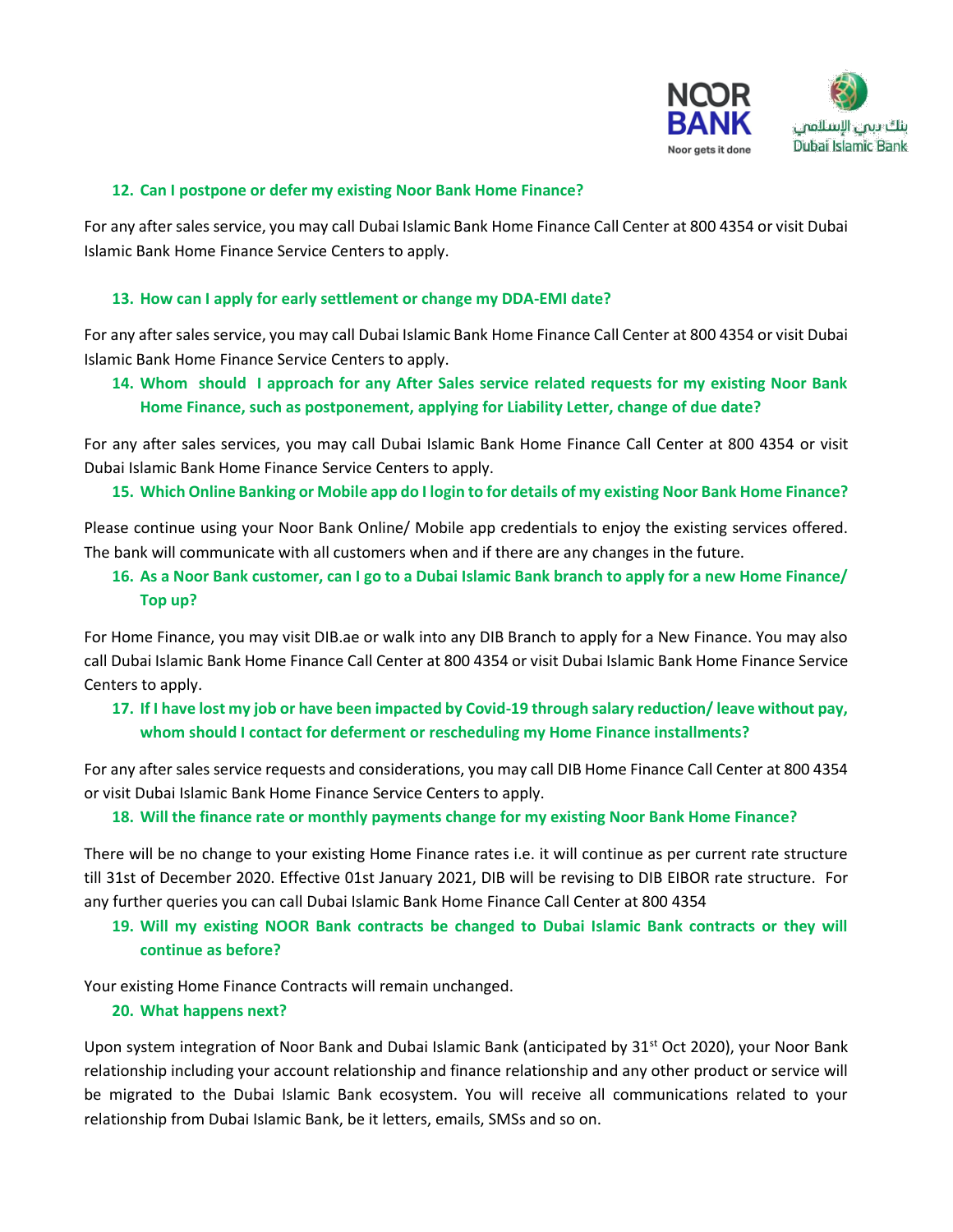

### **12. Can I postpone or defer my existing Noor Bank Home Finance?**

For any after sales service, you may call Dubai Islamic Bank Home Finance Call Center at 800 4354 or visit Dubai Islamic Bank Home Finance Service Centers to apply.

#### **13. How can I apply for early settlement or change my DDA-EMI date?**

For any after sales service, you may call Dubai Islamic Bank Home Finance Call Center at 800 4354 or visit Dubai Islamic Bank Home Finance Service Centers to apply.

**14. Whom should I approach for any After Sales service related requests for my existing Noor Bank Home Finance, such as postponement, applying for Liability Letter, change of due date?** 

For any after sales services, you may call Dubai Islamic Bank Home Finance Call Center at 800 4354 or visit Dubai Islamic Bank Home Finance Service Centers to apply.

#### **15. Which Online Banking or Mobile app do I login to for details of my existing Noor Bank Home Finance?**

Please continue using your Noor Bank Online/ Mobile app credentials to enjoy the existing services offered. The bank will communicate with all customers when and if there are any changes in the future.

## **16. As a Noor Bank customer, can I go to a Dubai Islamic Bank branch to apply for a new Home Finance/ Top up?**

For Home Finance, you may visit DIB.ae or walk into any DIB Branch to apply for a New Finance. You may also call Dubai Islamic Bank Home Finance Call Center at 800 4354 or visit Dubai Islamic Bank Home Finance Service Centers to apply.

## **17. If I have lost my job or have been impacted by Covid-19 through salary reduction/ leave without pay, whom should I contact for deferment or rescheduling my Home Finance installments?**

For any after sales service requests and considerations, you may call DIB Home Finance Call Center at 800 4354 or visit Dubai Islamic Bank Home Finance Service Centers to apply.

#### **18. Will the finance rate or monthly payments change for my existing Noor Bank Home Finance?**

There will be no change to your existing Home Finance rates i.e. it will continue as per current rate structure till 31st of December 2020. Effective 01st January 2021, DIB will be revising to DIB EIBOR rate structure. For any further queries you can call Dubai Islamic Bank Home Finance Call Center at 800 4354

## **19. Will my existing NOOR Bank contracts be changed to Dubai Islamic Bank contracts or they will continue as before?**

Your existing Home Finance Contracts will remain unchanged.

#### **20. What happens next?**

Upon system integration of Noor Bank and Dubai Islamic Bank (anticipated by 31<sup>st</sup> Oct 2020), your Noor Bank relationship including your account relationship and finance relationship and any other product or service will be migrated to the Dubai Islamic Bank ecosystem. You will receive all communications related to your relationship from Dubai Islamic Bank, be it letters, emails, SMSs and so on.